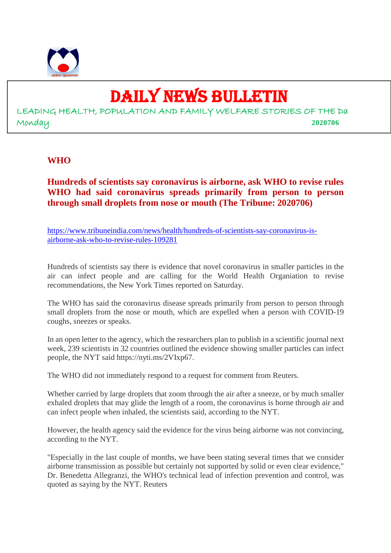

### DAILY NEWS BULLETIN

LEADING HEALTH, POPULATION AND FAMILY WELFARE STORIES OF THE Da Monday **2020706**

#### **WHO**

**Hundreds of scientists say coronavirus is airborne, ask WHO to revise rules WHO had said coronavirus spreads primarily from person to person through small droplets from nose or mouth (The Tribune: 2020706)**

https://www.tribuneindia.com/news/health/hundreds-of-scientists-say-coronavirus-isairborne-ask-who-to-revise-rules-109281

Hundreds of scientists say there is evidence that novel coronavirus in smaller particles in the air can infect people and are calling for the World Health Organiation to revise recommendations, the New York Times reported on Saturday.

The WHO has said the coronavirus disease spreads primarily from person to person through small droplets from the nose or mouth, which are expelled when a person with COVID-19 coughs, sneezes or speaks.

In an open letter to the agency, which the researchers plan to publish in a scientific journal next week, 239 scientists in 32 countries outlined the evidence showing smaller particles can infect people, the NYT said https://nyti.ms/2VIxp67.

The WHO did not immediately respond to a request for comment from Reuters.

Whether carried by large droplets that zoom through the air after a sneeze, or by much smaller exhaled droplets that may glide the length of a room, the coronavirus is borne through air and can infect people when inhaled, the scientists said, according to the NYT.

However, the health agency said the evidence for the virus being airborne was not convincing, according to the NYT.

"Especially in the last couple of months, we have been stating several times that we consider airborne transmission as possible but certainly not supported by solid or even clear evidence," Dr. Benedetta Allegranzi, the WHO's technical lead of infection prevention and control, was quoted as saying by the NYT. Reuters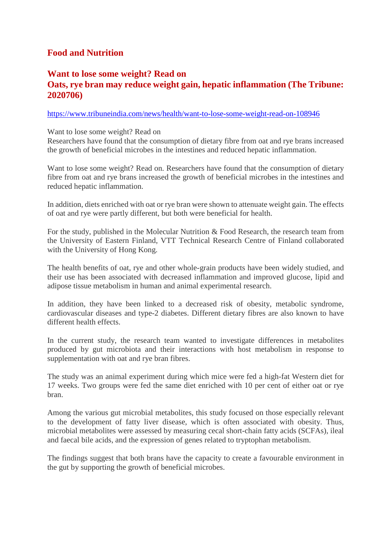#### **Food and Nutrition**

#### **Want to lose some weight? Read on Oats, rye bran may reduce weight gain, hepatic inflammation (The Tribune: 2020706)**

#### https://www.tribuneindia.com/news/health/want-to-lose-some-weight-read-on-108946

#### Want to lose some weight? Read on

Researchers have found that the consumption of dietary fibre from oat and rye brans increased the growth of beneficial microbes in the intestines and reduced hepatic inflammation.

Want to lose some weight? Read on. Researchers have found that the consumption of dietary fibre from oat and rye brans increased the growth of beneficial microbes in the intestines and reduced hepatic inflammation.

In addition, diets enriched with oat or rye bran were shown to attenuate weight gain. The effects of oat and rye were partly different, but both were beneficial for health.

For the study, published in the Molecular Nutrition & Food Research, the research team from the University of Eastern Finland, VTT Technical Research Centre of Finland collaborated with the University of Hong Kong.

The health benefits of oat, rye and other whole-grain products have been widely studied, and their use has been associated with decreased inflammation and improved glucose, lipid and adipose tissue metabolism in human and animal experimental research.

In addition, they have been linked to a decreased risk of obesity, metabolic syndrome, cardiovascular diseases and type-2 diabetes. Different dietary fibres are also known to have different health effects.

In the current study, the research team wanted to investigate differences in metabolites produced by gut microbiota and their interactions with host metabolism in response to supplementation with oat and rye bran fibres.

The study was an animal experiment during which mice were fed a high-fat Western diet for 17 weeks. Two groups were fed the same diet enriched with 10 per cent of either oat or rye bran.

Among the various gut microbial metabolites, this study focused on those especially relevant to the development of fatty liver disease, which is often associated with obesity. Thus, microbial metabolites were assessed by measuring cecal short-chain fatty acids (SCFAs), ileal and faecal bile acids, and the expression of genes related to tryptophan metabolism.

The findings suggest that both brans have the capacity to create a favourable environment in the gut by supporting the growth of beneficial microbes.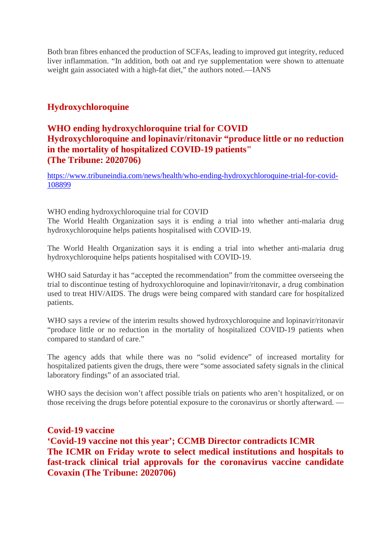Both bran fibres enhanced the production of SCFAs, leading to improved gut integrity, reduced liver inflammation. "In addition, both oat and rye supplementation were shown to attenuate weight gain associated with a high-fat diet," the authors noted.—IANS

#### **Hydroxychloroquine**

#### **WHO ending hydroxychloroquine trial for COVID Hydroxychloroquine and lopinavir/ritonavir "produce little or no reduction in the mortality of hospitalized COVID-19 patients" (The Tribune: 2020706)**

https://www.tribuneindia.com/news/health/who-ending-hydroxychloroquine-trial-for-covid-108899

#### WHO ending hydroxychloroquine trial for COVID

The World Health Organization says it is ending a trial into whether anti-malaria drug hydroxychloroquine helps patients hospitalised with COVID-19.

The World Health Organization says it is ending a trial into whether anti-malaria drug hydroxychloroquine helps patients hospitalised with COVID-19.

WHO said Saturday it has "accepted the recommendation" from the committee overseeing the trial to discontinue testing of hydroxychloroquine and lopinavir/ritonavir, a drug combination used to treat HIV/AIDS. The drugs were being compared with standard care for hospitalized patients.

WHO says a review of the interim results showed hydroxychloroquine and lopinavir/ritonavir "produce little or no reduction in the mortality of hospitalized COVID-19 patients when compared to standard of care."

The agency adds that while there was no "solid evidence" of increased mortality for hospitalized patients given the drugs, there were "some associated safety signals in the clinical laboratory findings" of an associated trial.

WHO says the decision won't affect possible trials on patients who aren't hospitalized, or on those receiving the drugs before potential exposure to the coronavirus or shortly afterward. —

#### **Covid-19 vaccine**

**'Covid-19 vaccine not this year'; CCMB Director contradicts ICMR The ICMR on Friday wrote to select medical institutions and hospitals to fast-track clinical trial approvals for the coronavirus vaccine candidate Covaxin (The Tribune: 2020706)**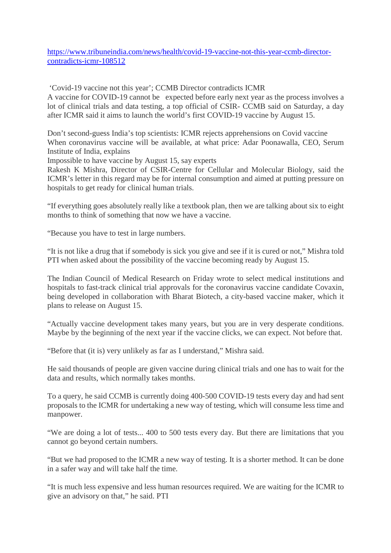https://www.tribuneindia.com/news/health/covid-19-vaccine-not-this-year-ccmb-directorcontradicts-icmr-108512

'Covid-19 vaccine not this year'; CCMB Director contradicts ICMR

A vaccine for COVID-19 cannot be expected before early next year as the process involves a lot of clinical trials and data testing, a top official of CSIR- CCMB said on Saturday, a day after ICMR said it aims to launch the world's first COVID-19 vaccine by August 15.

Don't second-guess India's top scientists: ICMR rejects apprehensions on Covid vaccine When coronavirus vaccine will be available, at what price: Adar Poonawalla, CEO, Serum Institute of India, explains

Impossible to have vaccine by August 15, say experts

Rakesh K Mishra, Director of CSIR-Centre for Cellular and Molecular Biology, said the ICMR's letter in this regard may be for internal consumption and aimed at putting pressure on hospitals to get ready for clinical human trials.

"If everything goes absolutely really like a textbook plan, then we are talking about six to eight months to think of something that now we have a vaccine.

"Because you have to test in large numbers.

"It is not like a drug that if somebody is sick you give and see if it is cured or not," Mishra told PTI when asked about the possibility of the vaccine becoming ready by August 15.

The Indian Council of Medical Research on Friday wrote to select medical institutions and hospitals to fast-track clinical trial approvals for the coronavirus vaccine candidate Covaxin, being developed in collaboration with Bharat Biotech, a city-based vaccine maker, which it plans to release on August 15.

"Actually vaccine development takes many years, but you are in very desperate conditions. Maybe by the beginning of the next year if the vaccine clicks, we can expect. Not before that.

"Before that (it is) very unlikely as far as I understand," Mishra said.

He said thousands of people are given vaccine during clinical trials and one has to wait for the data and results, which normally takes months.

To a query, he said CCMB is currently doing 400-500 COVID-19 tests every day and had sent proposals to the ICMR for undertaking a new way of testing, which will consume less time and manpower.

"We are doing a lot of tests... 400 to 500 tests every day. But there are limitations that you cannot go beyond certain numbers.

"But we had proposed to the ICMR a new way of testing. It is a shorter method. It can be done in a safer way and will take half the time.

"It is much less expensive and less human resources required. We are waiting for the ICMR to give an advisory on that," he said. PTI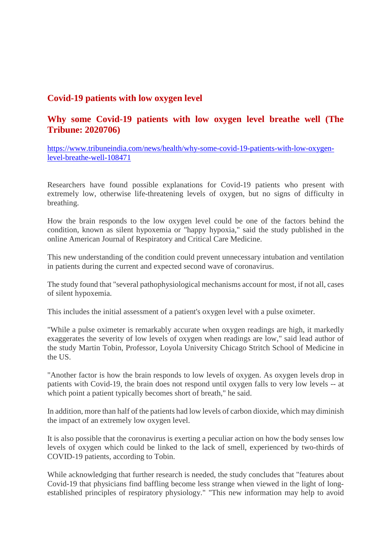#### **Covid-19 patients with low oxygen level**

#### **Why some Covid-19 patients with low oxygen level breathe well (The Tribune: 2020706)**

https://www.tribuneindia.com/news/health/why-some-covid-19-patients-with-low-oxygenlevel-breathe-well-108471

Researchers have found possible explanations for Covid-19 patients who present with extremely low, otherwise life-threatening levels of oxygen, but no signs of difficulty in breathing.

How the brain responds to the low oxygen level could be one of the factors behind the condition, known as silent hypoxemia or "happy hypoxia," said the study published in the online American Journal of Respiratory and Critical Care Medicine.

This new understanding of the condition could prevent unnecessary intubation and ventilation in patients during the current and expected second wave of coronavirus.

The study found that "several pathophysiological mechanisms account for most, if not all, cases of silent hypoxemia.

This includes the initial assessment of a patient's oxygen level with a pulse oximeter.

"While a pulse oximeter is remarkably accurate when oxygen readings are high, it markedly exaggerates the severity of low levels of oxygen when readings are low," said lead author of the study Martin Tobin, Professor, Loyola University Chicago Stritch School of Medicine in the US.

"Another factor is how the brain responds to low levels of oxygen. As oxygen levels drop in patients with Covid-19, the brain does not respond until oxygen falls to very low levels -- at which point a patient typically becomes short of breath," he said.

In addition, more than half of the patients had low levels of carbon dioxide, which may diminish the impact of an extremely low oxygen level.

It is also possible that the coronavirus is exerting a peculiar action on how the body senses low levels of oxygen which could be linked to the lack of smell, experienced by two-thirds of COVID-19 patients, according to Tobin.

While acknowledging that further research is needed, the study concludes that "features about Covid-19 that physicians find baffling become less strange when viewed in the light of longestablished principles of respiratory physiology." "This new information may help to avoid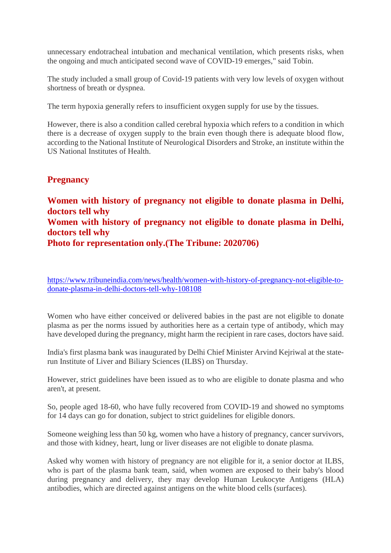unnecessary endotracheal intubation and mechanical ventilation, which presents risks, when the ongoing and much anticipated second wave of COVID-19 emerges," said Tobin.

The study included a small group of Covid-19 patients with very low levels of oxygen without shortness of breath or dyspnea.

The term hypoxia generally refers to insufficient oxygen supply for use by the tissues.

However, there is also a condition called cerebral hypoxia which refers to a condition in which there is a decrease of oxygen supply to the brain even though there is adequate blood flow, according to the National Institute of Neurological Disorders and Stroke, an institute within the US National Institutes of Health.

#### **Pregnancy**

**Women with history of pregnancy not eligible to donate plasma in Delhi, doctors tell why Women with history of pregnancy not eligible to donate plasma in Delhi, doctors tell why Photo for representation only.(The Tribune: 2020706)**

https://www.tribuneindia.com/news/health/women-with-history-of-pregnancy-not-eligible-todonate-plasma-in-delhi-doctors-tell-why-108108

Women who have either conceived or delivered babies in the past are not eligible to donate plasma as per the norms issued by authorities here as a certain type of antibody, which may have developed during the pregnancy, might harm the recipient in rare cases, doctors have said.

India's first plasma bank was inaugurated by Delhi Chief Minister Arvind Kejriwal at the staterun Institute of Liver and Biliary Sciences (ILBS) on Thursday.

However, strict guidelines have been issued as to who are eligible to donate plasma and who aren't, at present.

So, people aged 18-60, who have fully recovered from COVID-19 and showed no symptoms for 14 days can go for donation, subject to strict guidelines for eligible donors.

Someone weighing less than 50 kg, women who have a history of pregnancy, cancer survivors, and those with kidney, heart, lung or liver diseases are not eligible to donate plasma.

Asked why women with history of pregnancy are not eligible for it, a senior doctor at ILBS, who is part of the plasma bank team, said, when women are exposed to their baby's blood during pregnancy and delivery, they may develop Human Leukocyte Antigens (HLA) antibodies, which are directed against antigens on the white blood cells (surfaces).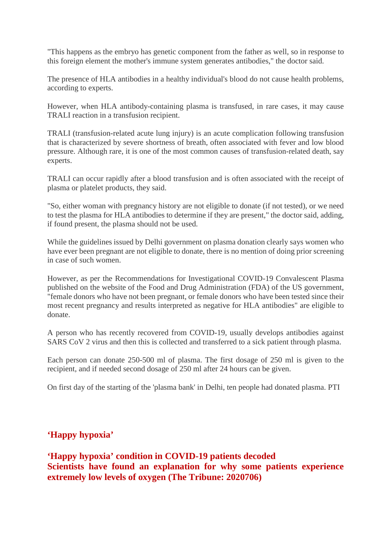"This happens as the embryo has genetic component from the father as well, so in response to this foreign element the mother's immune system generates antibodies," the doctor said.

The presence of HLA antibodies in a healthy individual's blood do not cause health problems, according to experts.

However, when HLA antibody-containing plasma is transfused, in rare cases, it may cause TRALI reaction in a transfusion recipient.

TRALI (transfusion-related acute lung injury) is an acute complication following transfusion that is characterized by severe shortness of breath, often associated with fever and low blood pressure. Although rare, it is one of the most common causes of transfusion-related death, say experts.

TRALI can occur rapidly after a blood transfusion and is often associated with the receipt of plasma or platelet products, they said.

"So, either woman with pregnancy history are not eligible to donate (if not tested), or we need to test the plasma for HLA antibodies to determine if they are present," the doctor said, adding, if found present, the plasma should not be used.

While the guidelines issued by Delhi government on plasma donation clearly says women who have ever been pregnant are not eligible to donate, there is no mention of doing prior screening in case of such women.

However, as per the Recommendations for Investigational COVID-19 Convalescent Plasma published on the website of the Food and Drug Administration (FDA) of the US government, "female donors who have not been pregnant, or female donors who have been tested since their most recent pregnancy and results interpreted as negative for HLA antibodies" are eligible to donate.

A person who has recently recovered from COVID-19, usually develops antibodies against SARS CoV 2 virus and then this is collected and transferred to a sick patient through plasma.

Each person can donate 250-500 ml of plasma. The first dosage of 250 ml is given to the recipient, and if needed second dosage of 250 ml after 24 hours can be given.

On first day of the starting of the 'plasma bank' in Delhi, ten people had donated plasma. PTI

#### **'Happy hypoxia'**

**'Happy hypoxia' condition in COVID-19 patients decoded Scientists have found an explanation for why some patients experience extremely low levels of oxygen (The Tribune: 2020706)**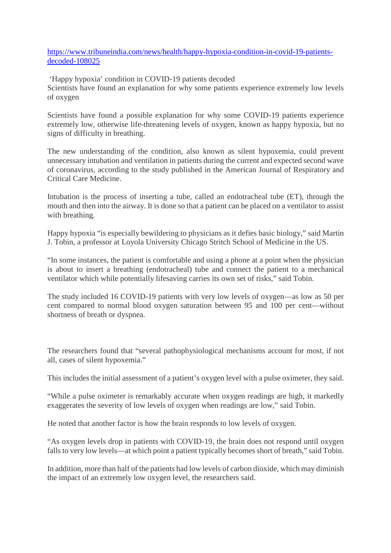https://www.tribuneindia.com/news/health/happy-hypoxia-condition-in-covid-19-patientsdecoded-108025

'Happy hypoxia' condition in COVID-19 patients decoded Scientists have found an explanation for why some patients experience extremely low levels of oxygen

Scientists have found a possible explanation for why some COVID-19 patients experience extremely low, otherwise life-threatening levels of oxygen, known as happy hypoxia, but no signs of difficulty in breathing.

The new understanding of the condition, also known as silent hypoxemia, could prevent unnecessary intubation and ventilation in patients during the current and expected second wave of coronavirus, according to the study published in the American Journal of Respiratory and Critical Care Medicine.

Intubation is the process of inserting a tube, called an endotracheal tube (ET), through the mouth and then into the airway. It is done so that a patient can be placed on a ventilator to assist with breathing.

Happy hypoxia "is especially bewildering to physicians as it defies basic biology," said Martin J. Tobin, a professor at Loyola University Chicago Stritch School of Medicine in the US.

"In some instances, the patient is comfortable and using a phone at a point when the physician is about to insert a breathing (endotracheal) tube and connect the patient to a mechanical ventilator which while potentially lifesaving carries its own set of risks," said Tobin.

The study included 16 COVID-19 patients with very low levels of oxygen—as low as 50 per cent compared to normal blood oxygen saturation between 95 and 100 per cent—without shortness of breath or dyspnea.

The researchers found that "several pathophysiological mechanisms account for most, if not all, cases of silent hypoxemia."

This includes the initial assessment of a patient's oxygen level with a pulse oximeter, they said.

"While a pulse oximeter is remarkably accurate when oxygen readings are high, it markedly exaggerates the severity of low levels of oxygen when readings are low," said Tobin.

He noted that another factor is how the brain responds to low levels of oxygen.

"As oxygen levels drop in patients with COVID-19, the brain does not respond until oxygen falls to very low levels—at which point a patient typically becomes short of breath," said Tobin.

In addition, more than half of the patients had low levels of carbon dioxide, which may diminish the impact of an extremely low oxygen level, the researchers said.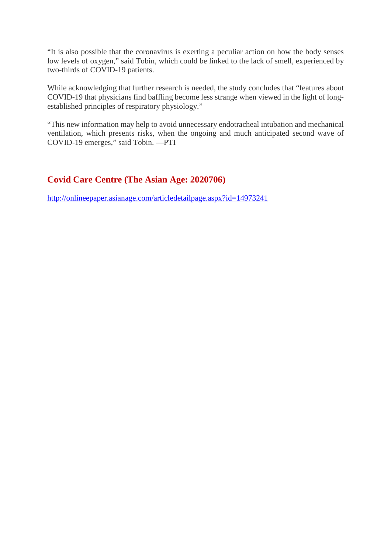"It is also possible that the coronavirus is exerting a peculiar action on how the body senses low levels of oxygen," said Tobin, which could be linked to the lack of smell, experienced by two-thirds of COVID-19 patients.

While acknowledging that further research is needed, the study concludes that "features about COVID-19 that physicians find baffling become less strange when viewed in the light of longestablished principles of respiratory physiology."

"This new information may help to avoid unnecessary endotracheal intubation and mechanical ventilation, which presents risks, when the ongoing and much anticipated second wave of COVID-19 emerges," said Tobin. —PTI

#### **Covid Care Centre (The Asian Age: 2020706)**

http://onlineepaper.asianage.com/articledetailpage.aspx?id=14973241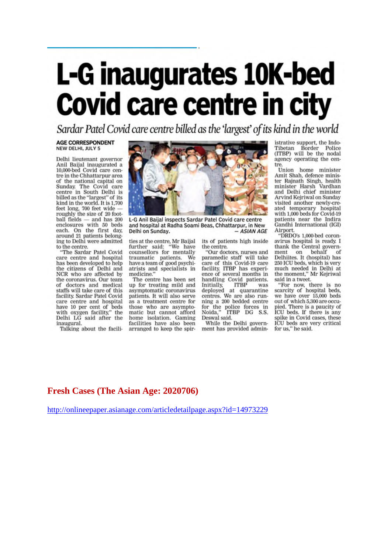# L-G inaugurates 10K-bed<br>Covid care centre in city

Sardar Patel Covid care centre billed as the 'largest' of its kind in the world

#### **AGE CORRESPONDENT** NEW DELHI, JULY 5

Delhi lieutenant governor Anil Baiial inaugurated a 10,000-bed Covid care centre in the Chhattarpur area of the national capital on Sunday, The Covid care centre in South Delhi is billed as the "largest" of its kind in the world. It is 1,700 feet long, 700 feet wide roughly the size of 20 foot $ball$  fields  $-$  and has  $200$ enclosures with 50 beds each. On the first day, around 21 patients belonging to Delhi were admitted to the centre.

"The Sardar Patel Covid care centre and hospital has been developed to help the citizens of Delhi and NCR who are affected by the coronavirus. Our team of doctors and medical staffs will take care of this facility. Sardar Patel Covid care centre and hospital have 10 per cent of beds<br>with oxygen facility," the Delhi LG said after the inaugural

Talking about the facili-



L-G Anil Baijal inspects Sardar Patel Covid care centre and hospital at Radha Soami Beas, Chhattarpur, in New - ASIAN AGE Delhi on Sunday.

ties at the centre, Mr Baijal<br>further said: "We have<br>counsellors for mentally traumatic patients. We have a team of good psychiatrists and specialists in medicine."

The centre has been set up for treating mild and asymptomatic coronavirus patients. It will also serve as a treatment centre for those who are asympto-<br>matic but cannot afford home isolation. Gaming facilities have also been arranged to keep the spirits of patients high inside the centre.

"Our doctors, nurses and paramedic staff will take care of this Covid-19 care<br>facility. ITBP has experience of several months in handling Covid patients.<br>Initially, ITBP was Finitially, TTBP was<br>deployed at quarantine<br>centres. We are also running a 200 bedded centre for the police forces in<br>Noida," ITBP DG S.S. Deswal said.

While the Delhi government has provided administrative support, the Indo-Tibetan Border Police<br>Tibetan Border Police<br>(ITBP) will be the nodal agency operating the centre.

Union home minister Amit Shah, defence minister Rajnath Singh, health minister Harsh Vardhan<br>and Delhi chief minister Arvind Kejriwal on Sunday visited another newly-created temporary hospital with 1,000 beds for Covid-19 patients near the Indira Gandhi International (IGI) Airport.

"DRDO's 1,000-bed coronavirus hospital is ready. I thank the Central government on behalf of<br>Delhiites. It (hospital) has 250 ICU beds, which is very much needed in Delhi at the moment," Mr Kejriwal

said in a tweet.<br>"For now, there is no<br>scarcity of hospital beds, we have over 15,000 beds<br>out of which 5,300 are occupied. There is a paucity of<br>ICU beds. If there is any spike in Covid cases, these ICU beds are very critical for us," he said.

#### **Fresh Cases (The Asian Age: 2020706)**

http://onlineepaper.asianage.com/articledetailpage.aspx?id=14973229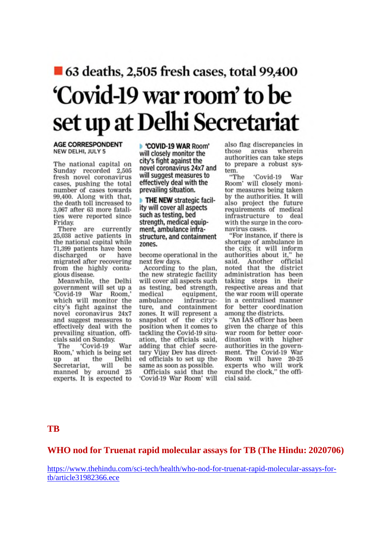## ■ 63 deaths, 2,505 fresh cases, total 99,400 'Covid-19 war room' to be set up at Delhi Secretariat

#### **AGE CORRESPONDENT** NEW DELHI, JULY 5

The national capital on Sunday recorded 2,505 fresh novel coronavirus cases, pushing the total number of cases towards 99,400. Along with that, the death toll increased to 3,067 after 63 more fatalities were reported since Friday.

There are currently 25,038 active patients in the national capital while 71,399 patients have been discharged or have migrated after recovering from the highly contagious disease.

Meanwhile, the Delhi government will set up a Covid-19 War Room, which will monitor the city's fight against the novel coronavirus 24x7 and suggest measures to effectively deal with the prevailing situation, officials said on Sunday.

The 'Covid-19 War<br>Room,' which is being set 'Covid-19 War up at the Delhi<br>Secretariat, will be<br>manned by around 25 experts. It is expected to COVID-19 WAR Room' will closely monitor the city's fight against the novel coronavirus 24x7 and will suggest measures to effectively deal with the prevailing situation.

THE NEW strategic facility will cover all aspects such as testing, bed strength, medical equipment, ambulance infrastructure, and containment zones.

become operational in the next few days.

According to the plan, the new strategic facility will cover all aspects such as testing, bed strength, medical equipment, ambulance infrastructure, and containment<br>zones. It will represent a<br>snapshot of the city's position when it comes to tackling the Covid-19 situation, the officials said, adding that chief secretary Vijay Dev has directed officials to set up the same as soon as possible. Officials said that the

'Covid-19 War Room' will

also flag discrepancies in those areas wherein authorities can take steps to prepare a robust system.

"The 'Covid-19 War Room' will closely monitor measures being taken by the authorities. It will also project the future requirements of medical infrastructure to deal with the surge in the coronavirus cases.

"For instance, if there is shortage of ambulance in the city, it will inform authorities about it," he said. Another official<br>noted that the district administration has been taking steps in their respective areas and that the war room will operate in a centralised manner for better coordination among the districts.

"An IAS officer has been given the charge of this war room for better coordination with higher authorities in the government. The Covid-19 War Room will have 20-25 experts who will work round the clock," the official said.

#### **TB**

#### **WHO nod for Truenat rapid molecular assays for TB (The Hindu: 2020706)**

https://www.thehindu.com/sci-tech/health/who-nod-for-truenat-rapid-molecular-assays-fortb/article31982366.ece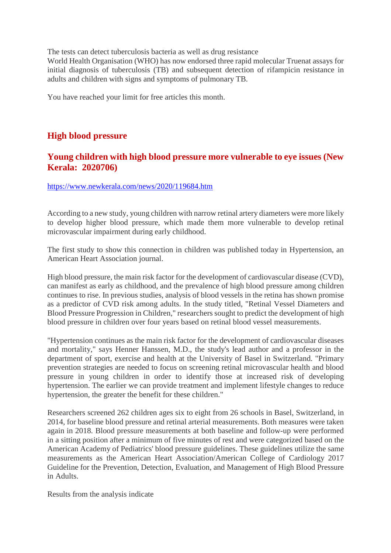The tests can detect tuberculosis bacteria as well as drug resistance

World Health Organisation (WHO) has now endorsed three rapid molecular Truenat assays for initial diagnosis of tuberculosis (TB) and subsequent detection of rifampicin resistance in adults and children with signs and symptoms of pulmonary TB.

You have reached your limit for free articles this month.

#### **High blood pressure**

#### **Young children with high blood pressure more vulnerable to eye issues (New Kerala: 2020706)**

#### https://www.newkerala.com/news/2020/119684.htm

According to a new study, young children with narrow retinal artery diameters were more likely to develop higher blood pressure, which made them more vulnerable to develop retinal microvascular impairment during early childhood.

The first study to show this connection in children was published today in Hypertension, an American Heart Association journal.

High blood pressure, the main risk factor for the development of cardiovascular disease (CVD), can manifest as early as childhood, and the prevalence of high blood pressure among children continues to rise. In previous studies, analysis of blood vessels in the retina has shown promise as a predictor of CVD risk among adults. In the study titled, "Retinal Vessel Diameters and Blood Pressure Progression in Children," researchers sought to predict the development of high blood pressure in children over four years based on retinal blood vessel measurements.

"Hypertension continues as the main risk factor for the development of cardiovascular diseases and mortality," says Henner Hanssen, M.D., the study's lead author and a professor in the department of sport, exercise and health at the University of Basel in Switzerland. "Primary prevention strategies are needed to focus on screening retinal microvascular health and blood pressure in young children in order to identify those at increased risk of developing hypertension. The earlier we can provide treatment and implement lifestyle changes to reduce hypertension, the greater the benefit for these children."

Researchers screened 262 children ages six to eight from 26 schools in Basel, Switzerland, in 2014, for baseline blood pressure and retinal arterial measurements. Both measures were taken again in 2018. Blood pressure measurements at both baseline and follow-up were performed in a sitting position after a minimum of five minutes of rest and were categorized based on the American Academy of Pediatrics' blood pressure guidelines. These guidelines utilize the same measurements as the American Heart Association/American College of Cardiology 2017 Guideline for the Prevention, Detection, Evaluation, and Management of High Blood Pressure in Adults.

Results from the analysis indicate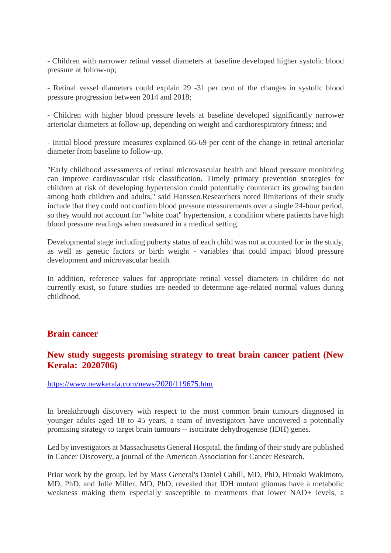- Children with narrower retinal vessel diameters at baseline developed higher systolic blood pressure at follow-up;

- Retinal vessel diameters could explain 29 -31 per cent of the changes in systolic blood pressure progression between 2014 and 2018;

- Children with higher blood pressure levels at baseline developed significantly narrower arteriolar diameters at follow-up, depending on weight and cardiorespiratory fitness; and

- Initial blood pressure measures explained 66-69 per cent of the change in retinal arteriolar diameter from baseline to follow-up.

"Early childhood assessments of retinal microvascular health and blood pressure monitoring can improve cardiovascular risk classification. Timely primary prevention strategies for children at risk of developing hypertension could potentially counteract its growing burden among both children and adults," said Hanssen.Researchers noted limitations of their study include that they could not confirm blood pressure measurements over a single 24-hour period, so they would not account for "white coat" hypertension, a condition where patients have high blood pressure readings when measured in a medical setting.

Developmental stage including puberty status of each child was not accounted for in the study, as well as genetic factors or birth weight - variables that could impact blood pressure development and microvascular health.

In addition, reference values for appropriate retinal vessel diameters in children do not currently exist, so future studies are needed to determine age-related normal values during childhood.

#### **Brain cancer**

#### **New study suggests promising strategy to treat brain cancer patient (New Kerala: 2020706)**

https://www.newkerala.com/news/2020/119675.htm

In breakthrough discovery with respect to the most common brain tumours diagnosed in younger adults aged 18 to 45 years, a team of investigators have uncovered a potentially promising strategy to target brain tumours -- isocitrate dehydrogenase (IDH) genes.

Led by investigators at Massachusetts General Hospital, the finding of their study are published in Cancer Discovery, a journal of the American Association for Cancer Research.

Prior work by the group, led by Mass General's Daniel Cahill, MD, PhD, Hiroaki Wakimoto, MD, PhD, and Julie Miller, MD, PhD, revealed that IDH mutant gliomas have a metabolic weakness making them especially susceptible to treatments that lower NAD+ levels, a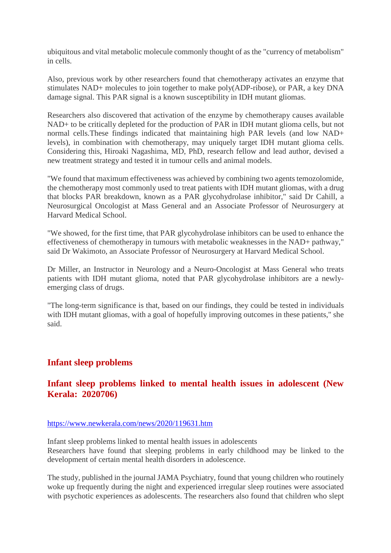ubiquitous and vital metabolic molecule commonly thought of as the "currency of metabolism" in cells.

Also, previous work by other researchers found that chemotherapy activates an enzyme that stimulates NAD+ molecules to join together to make poly(ADP-ribose), or PAR, a key DNA damage signal. This PAR signal is a known susceptibility in IDH mutant gliomas.

Researchers also discovered that activation of the enzyme by chemotherapy causes available NAD+ to be critically depleted for the production of PAR in IDH mutant glioma cells, but not normal cells.These findings indicated that maintaining high PAR levels (and low NAD+ levels), in combination with chemotherapy, may uniquely target IDH mutant glioma cells. Considering this, Hiroaki Nagashima, MD, PhD, research fellow and lead author, devised a new treatment strategy and tested it in tumour cells and animal models.

"We found that maximum effectiveness was achieved by combining two agents temozolomide, the chemotherapy most commonly used to treat patients with IDH mutant gliomas, with a drug that blocks PAR breakdown, known as a PAR glycohydrolase inhibitor," said Dr Cahill, a Neurosurgical Oncologist at Mass General and an Associate Professor of Neurosurgery at Harvard Medical School.

"We showed, for the first time, that PAR glycohydrolase inhibitors can be used to enhance the effectiveness of chemotherapy in tumours with metabolic weaknesses in the NAD+ pathway," said Dr Wakimoto, an Associate Professor of Neurosurgery at Harvard Medical School.

Dr Miller, an Instructor in Neurology and a Neuro-Oncologist at Mass General who treats patients with IDH mutant glioma, noted that PAR glycohydrolase inhibitors are a newlyemerging class of drugs.

"The long-term significance is that, based on our findings, they could be tested in individuals with IDH mutant gliomas, with a goal of hopefully improving outcomes in these patients," she said.

#### **Infant sleep problems**

#### **Infant sleep problems linked to mental health issues in adolescent (New Kerala: 2020706)**

#### https://www.newkerala.com/news/2020/119631.htm

Infant sleep problems linked to mental health issues in adolescents Researchers have found that sleeping problems in early childhood may be linked to the development of certain mental health disorders in adolescence.

The study, published in the journal JAMA Psychiatry, found that young children who routinely woke up frequently during the night and experienced irregular sleep routines were associated with psychotic experiences as adolescents. The researchers also found that children who slept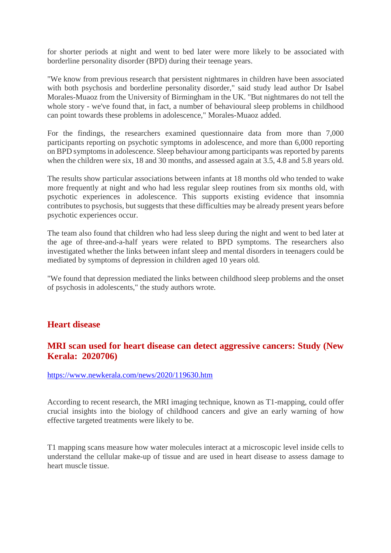for shorter periods at night and went to bed later were more likely to be associated with borderline personality disorder (BPD) during their teenage years.

"We know from previous research that persistent nightmares in children have been associated with both psychosis and borderline personality disorder," said study lead author Dr Isabel Morales-Muaoz from the University of Birmingham in the UK. "But nightmares do not tell the whole story - we've found that, in fact, a number of behavioural sleep problems in childhood can point towards these problems in adolescence," Morales-Muaoz added.

For the findings, the researchers examined questionnaire data from more than 7,000 participants reporting on psychotic symptoms in adolescence, and more than 6,000 reporting on BPD symptoms in adolescence. Sleep behaviour among participants was reported by parents when the children were six, 18 and 30 months, and assessed again at 3.5, 4.8 and 5.8 years old.

The results show particular associations between infants at 18 months old who tended to wake more frequently at night and who had less regular sleep routines from six months old, with psychotic experiences in adolescence. This supports existing evidence that insomnia contributes to psychosis, but suggests that these difficulties may be already present years before psychotic experiences occur.

The team also found that children who had less sleep during the night and went to bed later at the age of three-and-a-half years were related to BPD symptoms. The researchers also investigated whether the links between infant sleep and mental disorders in teenagers could be mediated by symptoms of depression in children aged 10 years old.

"We found that depression mediated the links between childhood sleep problems and the onset of psychosis in adolescents," the study authors wrote.

#### **Heart disease**

#### **MRI scan used for heart disease can detect aggressive cancers: Study (New Kerala: 2020706)**

#### https://www.newkerala.com/news/2020/119630.htm

According to recent research, the MRI imaging technique, known as T1-mapping, could offer crucial insights into the biology of childhood cancers and give an early warning of how effective targeted treatments were likely to be.

T1 mapping scans measure how water molecules interact at a microscopic level inside cells to understand the cellular make-up of tissue and are used in heart disease to assess damage to heart muscle tissue.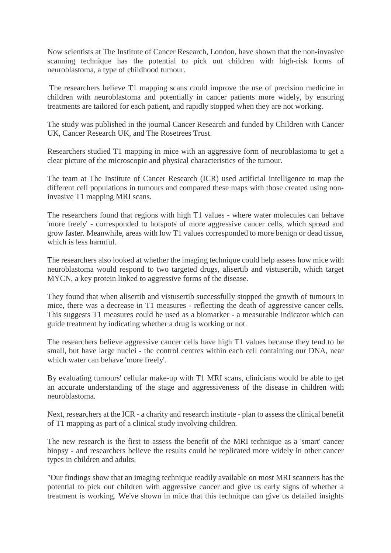Now scientists at The Institute of Cancer Research, London, have shown that the non-invasive scanning technique has the potential to pick out children with high-risk forms of neuroblastoma, a type of childhood tumour.

The researchers believe T1 mapping scans could improve the use of precision medicine in children with neuroblastoma and potentially in cancer patients more widely, by ensuring treatments are tailored for each patient, and rapidly stopped when they are not working.

The study was published in the journal Cancer Research and funded by Children with Cancer UK, Cancer Research UK, and The Rosetrees Trust.

Researchers studied T1 mapping in mice with an aggressive form of neuroblastoma to get a clear picture of the microscopic and physical characteristics of the tumour.

The team at The Institute of Cancer Research (ICR) used artificial intelligence to map the different cell populations in tumours and compared these maps with those created using noninvasive T1 mapping MRI scans.

The researchers found that regions with high T1 values - where water molecules can behave 'more freely' - corresponded to hotspots of more aggressive cancer cells, which spread and grow faster. Meanwhile, areas with low T1 values corresponded to more benign or dead tissue, which is less harmful.

The researchers also looked at whether the imaging technique could help assess how mice with neuroblastoma would respond to two targeted drugs, alisertib and vistusertib, which target MYCN, a key protein linked to aggressive forms of the disease.

They found that when alisertib and vistusertib successfully stopped the growth of tumours in mice, there was a decrease in T1 measures - reflecting the death of aggressive cancer cells. This suggests T1 measures could be used as a biomarker - a measurable indicator which can guide treatment by indicating whether a drug is working or not.

The researchers believe aggressive cancer cells have high T1 values because they tend to be small, but have large nuclei - the control centres within each cell containing our DNA, near which water can behave 'more freely'.

By evaluating tumours' cellular make-up with T1 MRI scans, clinicians would be able to get an accurate understanding of the stage and aggressiveness of the disease in children with neuroblastoma.

Next, researchers at the ICR - a charity and research institute - plan to assess the clinical benefit of T1 mapping as part of a clinical study involving children.

The new research is the first to assess the benefit of the MRI technique as a 'smart' cancer biopsy - and researchers believe the results could be replicated more widely in other cancer types in children and adults.

"Our findings show that an imaging technique readily available on most MRI scanners has the potential to pick out children with aggressive cancer and give us early signs of whether a treatment is working. We've shown in mice that this technique can give us detailed insights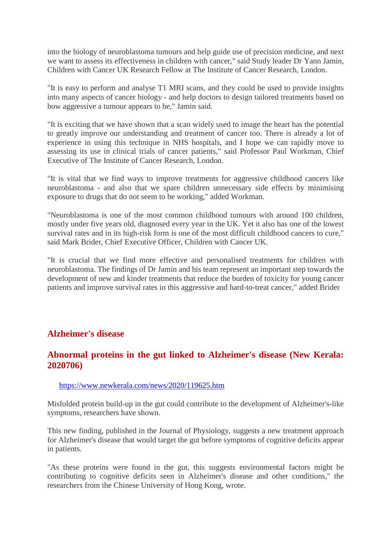into the biology of neuroblastoma tumours and help guide use of precision medicine, and next we want to assess its effectiveness in children with cancer," said Study leader Dr Yann Jamin, Children with Cancer UK Research Fellow at The Institute of Cancer Research, London.

"It is easy to perform and analyse T1 MRI scans, and they could be used to provide insights into many aspects of cancer biology - and help doctors to design tailored treatments based on how aggressive a tumour appears to be," Jamin said.

"It is exciting that we have shown that a scan widely used to image the heart has the potential to greatly improve our understanding and treatment of cancer too. There is already a lot of experience in using this technique in NHS hospitals, and I hope we can rapidly move to assessing its use in clinical trials of cancer patients," said Professor Paul Workman, Chief Executive of The Institute of Cancer Research, London.

"It is vital that we find ways to improve treatments for aggressive childhood cancers like neuroblastoma - and also that we spare children unnecessary side effects by minimising exposure to drugs that do not seem to be working," added Workman.

"Neuroblastoma is one of the most common childhood tumours with around 100 children, mostly under five years old, diagnosed every year in the UK. Yet it also has one of the lowest survival rates and in its high-risk form is one of the most difficult childhood cancers to cure," said Mark Brider, Chief Executive Officer, Children with Cancer UK.

"It is crucial that we find more effective and personalised treatments for children with neuroblastoma. The findings of Dr Jamin and his team represent an important step towards the development of new and kinder treatments that reduce the burden of toxicity for young cancer patients and improve survival rates in this aggressive and hard-to-treat cancer," added Brider

#### **Alzheimer's disease**

#### **Abnormal proteins in the gut linked to Alzheimer's disease (New Kerala: 2020706)**

#### https://www.newkerala.com/news/2020/119625.htm

Misfolded protein build-up in the gut could contribute to the development of Alzheimer's-like symptoms, researchers have shown.

This new finding, published in the Journal of Physiology, suggests a new treatment approach for Alzheimer's disease that would target the gut before symptoms of cognitive deficits appear in patients.

"As these proteins were found in the gut, this suggests environmental factors might be contributing to cognitive deficits seen in Alzheimer's disease and other conditions," the researchers from the Chinese University of Hong Kong, wrote.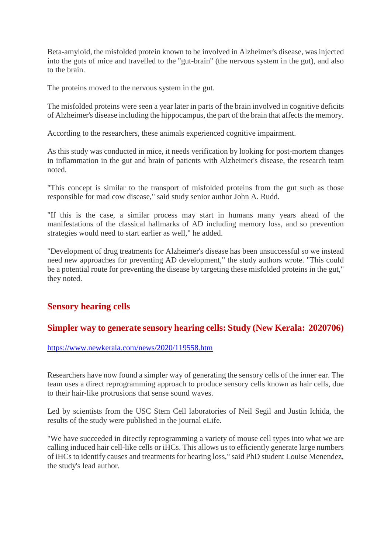Beta-amyloid, the misfolded protein known to be involved in Alzheimer's disease, was injected into the guts of mice and travelled to the "gut-brain" (the nervous system in the gut), and also to the brain.

The proteins moved to the nervous system in the gut.

The misfolded proteins were seen a year later in parts of the brain involved in cognitive deficits of Alzheimer's disease including the hippocampus, the part of the brain that affects the memory.

According to the researchers, these animals experienced cognitive impairment.

As this study was conducted in mice, it needs verification by looking for post-mortem changes in inflammation in the gut and brain of patients with Alzheimer's disease, the research team noted.

"This concept is similar to the transport of misfolded proteins from the gut such as those responsible for mad cow disease," said study senior author John A. Rudd.

"If this is the case, a similar process may start in humans many years ahead of the manifestations of the classical hallmarks of AD including memory loss, and so prevention strategies would need to start earlier as well," he added.

"Development of drug treatments for Alzheimer's disease has been unsuccessful so we instead need new approaches for preventing AD development," the study authors wrote. "This could be a potential route for preventing the disease by targeting these misfolded proteins in the gut," they noted.

#### **Sensory hearing cells**

#### **Simpler way to generate sensory hearing cells: Study (New Kerala: 2020706)**

https://www.newkerala.com/news/2020/119558.htm

Researchers have now found a simpler way of generating the sensory cells of the inner ear. The team uses a direct reprogramming approach to produce sensory cells known as hair cells, due to their hair-like protrusions that sense sound waves.

Led by scientists from the USC Stem Cell laboratories of Neil Segil and Justin Ichida, the results of the study were published in the journal eLife.

"We have succeeded in directly reprogramming a variety of mouse cell types into what we are calling induced hair cell-like cells or iHCs. This allows us to efficiently generate large numbers of iHCs to identify causes and treatments for hearing loss," said PhD student Louise Menendez, the study's lead author.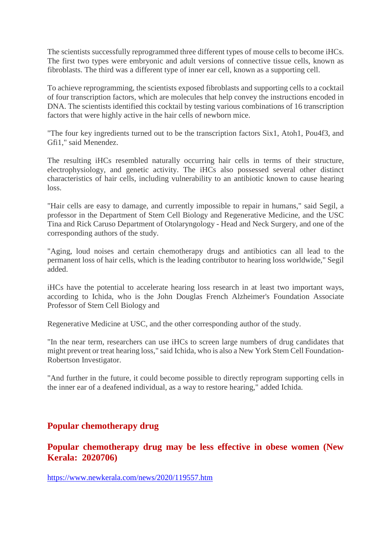The scientists successfully reprogrammed three different types of mouse cells to become iHCs. The first two types were embryonic and adult versions of connective tissue cells, known as fibroblasts. The third was a different type of inner ear cell, known as a supporting cell.

To achieve reprogramming, the scientists exposed fibroblasts and supporting cells to a cocktail of four transcription factors, which are molecules that help convey the instructions encoded in DNA. The scientists identified this cocktail by testing various combinations of 16 transcription factors that were highly active in the hair cells of newborn mice.

"The four key ingredients turned out to be the transcription factors Six1, Atoh1, Pou4f3, and Gfi1," said Menendez.

The resulting iHCs resembled naturally occurring hair cells in terms of their structure, electrophysiology, and genetic activity. The iHCs also possessed several other distinct characteristics of hair cells, including vulnerability to an antibiotic known to cause hearing loss.

"Hair cells are easy to damage, and currently impossible to repair in humans," said Segil, a professor in the Department of Stem Cell Biology and Regenerative Medicine, and the USC Tina and Rick Caruso Department of Otolaryngology - Head and Neck Surgery, and one of the corresponding authors of the study.

"Aging, loud noises and certain chemotherapy drugs and antibiotics can all lead to the permanent loss of hair cells, which is the leading contributor to hearing loss worldwide," Segil added.

iHCs have the potential to accelerate hearing loss research in at least two important ways, according to Ichida, who is the John Douglas French Alzheimer's Foundation Associate Professor of Stem Cell Biology and

Regenerative Medicine at USC, and the other corresponding author of the study.

"In the near term, researchers can use iHCs to screen large numbers of drug candidates that might prevent or treat hearing loss," said Ichida, who is also a New York Stem Cell Foundation-Robertson Investigator.

"And further in the future, it could become possible to directly reprogram supporting cells in the inner ear of a deafened individual, as a way to restore hearing," added Ichida.

#### **Popular chemotherapy drug**

**Popular chemotherapy drug may be less effective in obese women (New Kerala: 2020706)**

https://www.newkerala.com/news/2020/119557.htm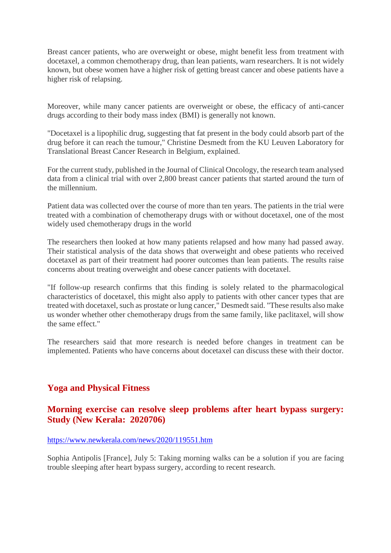Breast cancer patients, who are overweight or obese, might benefit less from treatment with docetaxel, a common chemotherapy drug, than lean patients, warn researchers. It is not widely known, but obese women have a higher risk of getting breast cancer and obese patients have a higher risk of relapsing.

Moreover, while many cancer patients are overweight or obese, the efficacy of anti-cancer drugs according to their body mass index (BMI) is generally not known.

"Docetaxel is a lipophilic drug, suggesting that fat present in the body could absorb part of the drug before it can reach the tumour," Christine Desmedt from the KU Leuven Laboratory for Translational Breast Cancer Research in Belgium, explained.

For the current study, published in the Journal of Clinical Oncology, the research team analysed data from a clinical trial with over 2,800 breast cancer patients that started around the turn of the millennium.

Patient data was collected over the course of more than ten years. The patients in the trial were treated with a combination of chemotherapy drugs with or without docetaxel, one of the most widely used chemotherapy drugs in the world

The researchers then looked at how many patients relapsed and how many had passed away. Their statistical analysis of the data shows that overweight and obese patients who received docetaxel as part of their treatment had poorer outcomes than lean patients. The results raise concerns about treating overweight and obese cancer patients with docetaxel.

"If follow-up research confirms that this finding is solely related to the pharmacological characteristics of docetaxel, this might also apply to patients with other cancer types that are treated with docetaxel, such as prostate or lung cancer," Desmedt said. "These results also make us wonder whether other chemotherapy drugs from the same family, like paclitaxel, will show the same effect."

The researchers said that more research is needed before changes in treatment can be implemented. Patients who have concerns about docetaxel can discuss these with their doctor.

#### **Yoga and Physical Fitness**

#### **Morning exercise can resolve sleep problems after heart bypass surgery: Study (New Kerala: 2020706)**

#### https://www.newkerala.com/news/2020/119551.htm

Sophia Antipolis [France], July 5: Taking morning walks can be a solution if you are facing trouble sleeping after heart bypass surgery, according to recent research.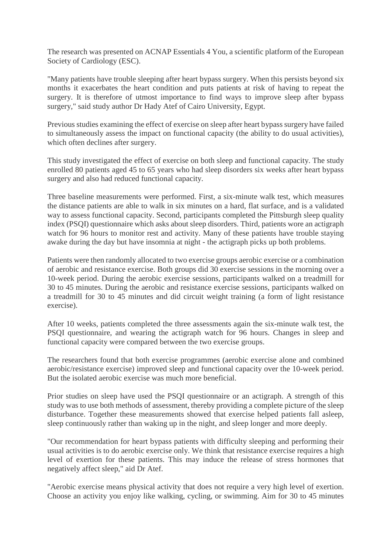The research was presented on ACNAP Essentials 4 You, a scientific platform of the European Society of Cardiology (ESC).

"Many patients have trouble sleeping after heart bypass surgery. When this persists beyond six months it exacerbates the heart condition and puts patients at risk of having to repeat the surgery. It is therefore of utmost importance to find ways to improve sleep after bypass surgery," said study author Dr Hady Atef of Cairo University, Egypt.

Previous studies examining the effect of exercise on sleep after heart bypass surgery have failed to simultaneously assess the impact on functional capacity (the ability to do usual activities), which often declines after surgery.

This study investigated the effect of exercise on both sleep and functional capacity. The study enrolled 80 patients aged 45 to 65 years who had sleep disorders six weeks after heart bypass surgery and also had reduced functional capacity.

Three baseline measurements were performed. First, a six-minute walk test, which measures the distance patients are able to walk in six minutes on a hard, flat surface, and is a validated way to assess functional capacity. Second, participants completed the Pittsburgh sleep quality index (PSQI) questionnaire which asks about sleep disorders. Third, patients wore an actigraph watch for 96 hours to monitor rest and activity. Many of these patients have trouble staying awake during the day but have insomnia at night - the actigraph picks up both problems.

Patients were then randomly allocated to two exercise groups aerobic exercise or a combination of aerobic and resistance exercise. Both groups did 30 exercise sessions in the morning over a 10-week period. During the aerobic exercise sessions, participants walked on a treadmill for 30 to 45 minutes. During the aerobic and resistance exercise sessions, participants walked on a treadmill for 30 to 45 minutes and did circuit weight training (a form of light resistance exercise).

After 10 weeks, patients completed the three assessments again the six-minute walk test, the PSQI questionnaire, and wearing the actigraph watch for 96 hours. Changes in sleep and functional capacity were compared between the two exercise groups.

The researchers found that both exercise programmes (aerobic exercise alone and combined aerobic/resistance exercise) improved sleep and functional capacity over the 10-week period. But the isolated aerobic exercise was much more beneficial.

Prior studies on sleep have used the PSQI questionnaire or an actigraph. A strength of this study was to use both methods of assessment, thereby providing a complete picture of the sleep disturbance. Together these measurements showed that exercise helped patients fall asleep, sleep continuously rather than waking up in the night, and sleep longer and more deeply.

"Our recommendation for heart bypass patients with difficulty sleeping and performing their usual activities is to do aerobic exercise only. We think that resistance exercise requires a high level of exertion for these patients. This may induce the release of stress hormones that negatively affect sleep," aid Dr Atef.

"Aerobic exercise means physical activity that does not require a very high level of exertion. Choose an activity you enjoy like walking, cycling, or swimming. Aim for 30 to 45 minutes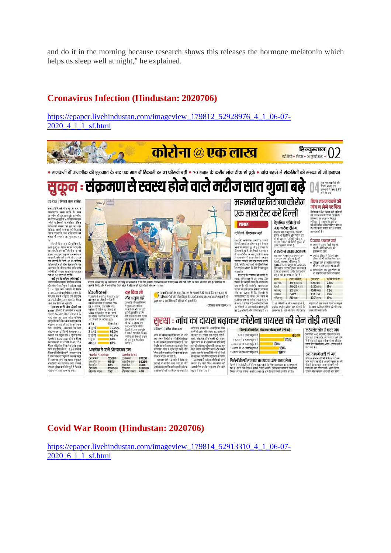and do it in the morning because research shows this releases the hormone melatonin which helps us sleep well at night," he explained.

#### **Cronavirus Infection (Hindustan: 2020706)**

https://epaper.livehindustan.com/imageview\_179812\_52928976\_4\_1\_06-07- 2020\_4\_i\_1\_sf.html



#### **Covid War Room (Hindustan: 2020706)**

https://epaper.livehindustan.com/imageview\_179814\_52913310\_4\_1\_06-07-2020\_6\_i\_1\_sf.html